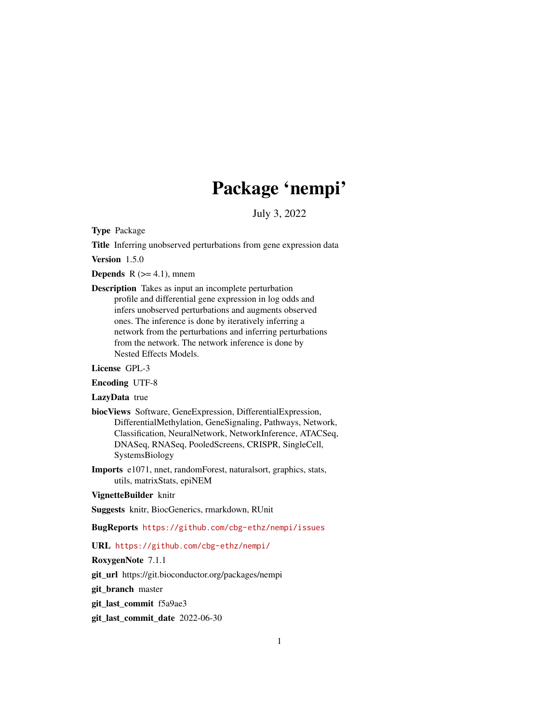# Package 'nempi'

July 3, 2022

Type Package

Title Inferring unobserved perturbations from gene expression data

Version 1.5.0

**Depends**  $R$  ( $>= 4.1$ ), mnem

Description Takes as input an incomplete perturbation profile and differential gene expression in log odds and infers unobserved perturbations and augments observed ones. The inference is done by iteratively inferring a network from the perturbations and inferring perturbations from the network. The network inference is done by Nested Effects Models.

License GPL-3

Encoding UTF-8

LazyData true

biocViews Software, GeneExpression, DifferentialExpression, DifferentialMethylation, GeneSignaling, Pathways, Network, Classification, NeuralNetwork, NetworkInference, ATACSeq, DNASeq, RNASeq, PooledScreens, CRISPR, SingleCell, SystemsBiology

Imports e1071, nnet, randomForest, naturalsort, graphics, stats, utils, matrixStats, epiNEM

VignetteBuilder knitr

Suggests knitr, BiocGenerics, rmarkdown, RUnit

BugReports <https://github.com/cbg-ethz/nempi/issues>

URL <https://github.com/cbg-ethz/nempi/>

RoxygenNote 7.1.1

git\_url https://git.bioconductor.org/packages/nempi

git\_branch master

git\_last\_commit f5a9ae3

git\_last\_commit\_date 2022-06-30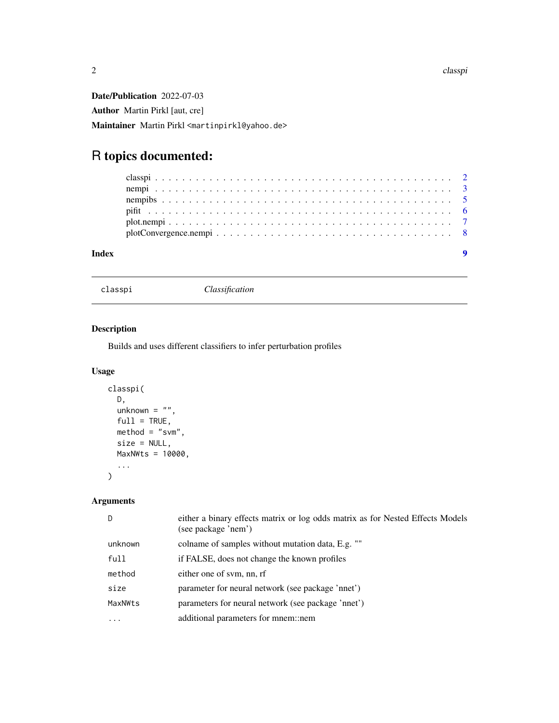<span id="page-1-0"></span>Date/Publication 2022-07-03 Author Martin Pirkl [aut, cre] Maintainer Martin Pirkl <martinpirkl@yahoo.de>

## R topics documented:

| Indev |  |
|-------|--|
|       |  |
|       |  |
|       |  |
|       |  |
|       |  |
|       |  |

classpi *Classification*

#### Description

Builds and uses different classifiers to infer perturbation profiles

#### Usage

```
classpi(
 D,
 unknown = ",
 full = TRUE,method = "swm",size = NULL,
 MaxNWts = 10000,
  ...
\mathcal{L}
```
#### Arguments

| D         | either a binary effects matrix or log odds matrix as for Nested Effects Models<br>(see package 'nem') |
|-----------|-------------------------------------------------------------------------------------------------------|
| unknown   | colname of samples without mutation data, E.g. ""                                                     |
| full      | if FALSE, does not change the known profiles                                                          |
| method    | either one of sym, nn, rf                                                                             |
| size      | parameter for neural network (see package 'nnet')                                                     |
| MaxNWts   | parameters for neural network (see package 'nnet')                                                    |
| $\ddotsc$ | additional parameters for mnem::nem                                                                   |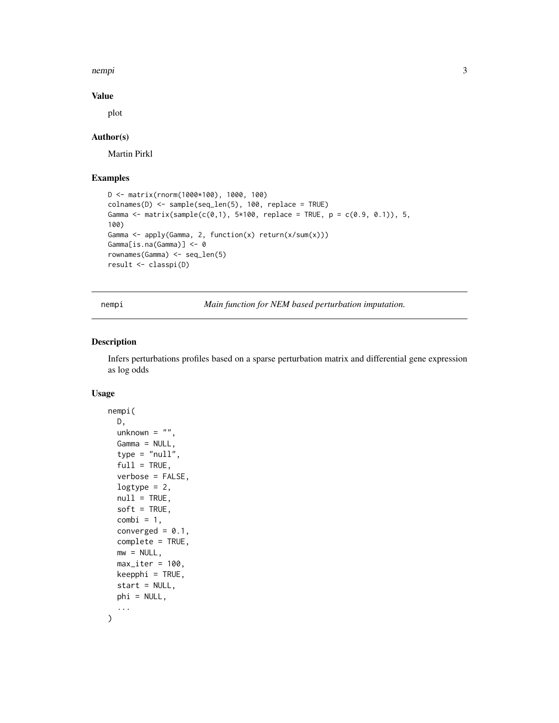<span id="page-2-0"></span>nempi 33 ani 33 ani 33 ani 33 ani 33 ani 33 ani 33 ani 33 ani 33 ani 33 ani 33 ani 33 ani 34 ani 35 ani 36 ani

Value

plot

#### Author(s)

Martin Pirkl

#### Examples

```
D <- matrix(rnorm(1000*100), 1000, 100)
colnames(D) <- sample(seq_len(5), 100, replace = TRUE)
Gamma <- matrix(sample(c(0,1), 5*100, replace = TRUE, p = c(0.9, 0.1)), 5,
100)
Gamma \leq apply(Gamma, 2, function(x) return(x/sum(x)))
Gamma[is.na(Gamma)] <- 0
rownames(Gamma) <- seq_len(5)
result <- classpi(D)
```
nempi *Main function for NEM based perturbation imputation.*

#### Description

Infers perturbations profiles based on a sparse perturbation matrix and differential gene expression as log odds

#### Usage

```
nempi(
  D,
  unknown = ",
  Gamma = NULL,
  type = "null",full = TRUE,verbose = FALSE,
  logtype = 2,
  null = TRUE,soft = TRUE,combi = 1,
  converged = 0.1,
  complete = TRUE,
 mw = NULL,max\_iter = 100,
 keepphi = TRUE,
  start = NULL,
 phi = NULL,
  ...
\mathcal{E}
```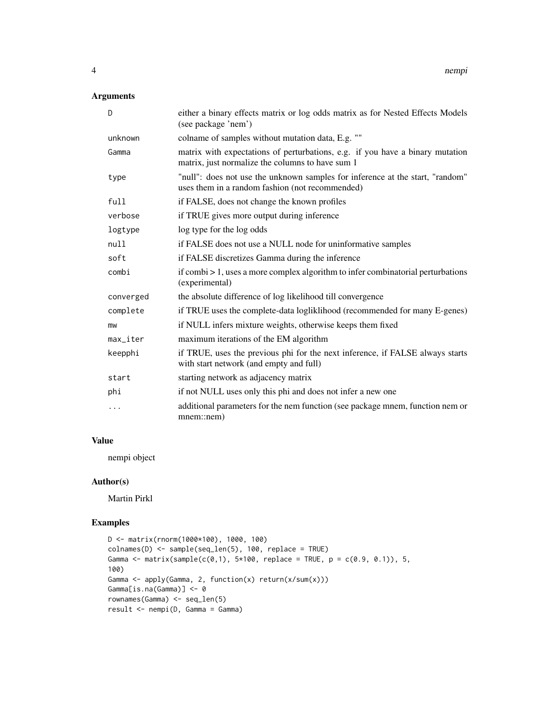## Arguments

| D                      | either a binary effects matrix or log odds matrix as for Nested Effects Models<br>(see package 'nem')                             |
|------------------------|-----------------------------------------------------------------------------------------------------------------------------------|
| unknown                | colname of samples without mutation data, E.g. ""                                                                                 |
| Gamma                  | matrix with expectations of perturbations, e.g. if you have a binary mutation<br>matrix, just normalize the columns to have sum 1 |
| type                   | "null": does not use the unknown samples for inference at the start, "random"<br>uses them in a random fashion (not recommended)  |
| full                   | if FALSE, does not change the known profiles                                                                                      |
| verbose                | if TRUE gives more output during inference                                                                                        |
| logtype                | log type for the log odds                                                                                                         |
| null                   | if FALSE does not use a NULL node for uninformative samples                                                                       |
| soft                   | if FALSE discretizes Gamma during the inference                                                                                   |
| combi                  | $if combi > 1$ , uses a more complex algorithm to infer combinatorial perturbations<br>(experimental)                             |
| converged              | the absolute difference of log likelihood till convergence                                                                        |
| complete               | if TRUE uses the complete-data logliklihood (recommended for many E-genes)                                                        |
| mw                     | if NULL infers mixture weights, otherwise keeps them fixed                                                                        |
| $max$ <sub>Liter</sub> | maximum iterations of the EM algorithm                                                                                            |
| keepphi                | if TRUE, uses the previous phi for the next inference, if FALSE always starts<br>with start network (and empty and full)          |
| start                  | starting network as adjacency matrix                                                                                              |
| phi                    | if not NULL uses only this phi and does not infer a new one                                                                       |
| $\cdots$               | additional parameters for the nem function (see package mnem, function nem or<br>$m$ nem::nem $)$                                 |

#### Value

nempi object

### Author(s)

Martin Pirkl

```
D <- matrix(rnorm(1000*100), 1000, 100)
colnames(D) <- sample(seq_len(5), 100, replace = TRUE)
Gamma <- matrix(sample(c(0,1), 5*100, replace = TRUE, p = c(0.9, 0.1)), 5,
100)
Gamma <- apply(Gamma, 2, function(x) return(x/sum(x)))
Gamma[is.na(Gamma)] <- 0
rownames(Gamma) <- seq_len(5)
result <- nempi(D, Gamma = Gamma)
```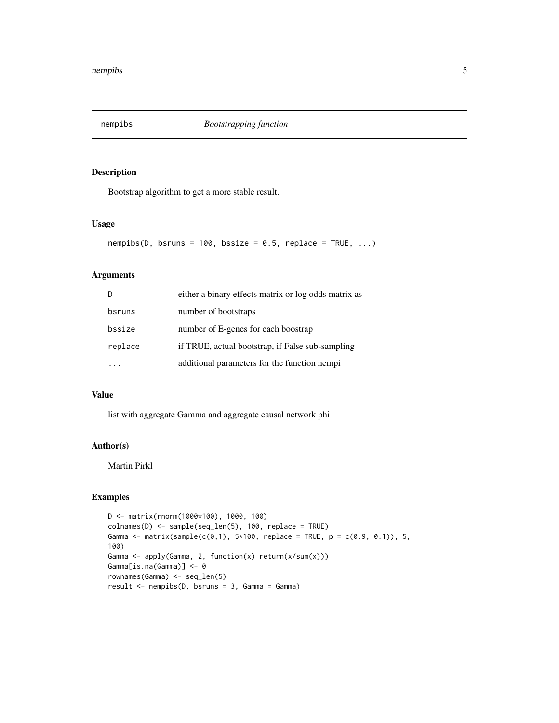<span id="page-4-0"></span>

#### Description

Bootstrap algorithm to get a more stable result.

#### Usage

```
nempibs(D, bruns = 100, bssize = 0.5, replace = TRUE, ...)
```
#### Arguments

| D.      | either a binary effects matrix or log odds matrix as |
|---------|------------------------------------------------------|
| bsruns  | number of bootstraps                                 |
| bssize  | number of E-genes for each boostrap                  |
| replace | if TRUE, actual bootstrap, if False sub-sampling     |
|         | additional parameters for the function nempi         |

#### Value

list with aggregate Gamma and aggregate causal network phi

#### Author(s)

Martin Pirkl

```
D <- matrix(rnorm(1000*100), 1000, 100)
colnames(D) <- sample(seq_len(5), 100, replace = TRUE)
Gamma <- matrix(sample(c(0,1), 5*100, replace = TRUE, p = c(0.9, 0.1)), 5,
100)
Gamma <- apply(Gamma, 2, function(x) return(x/sum(x)))
Gamma[is.na(Gamma)] <- 0
rownames(Gamma) <- seq_len(5)
result <- nempibs(D, bsruns = 3, Gamma = Gamma)
```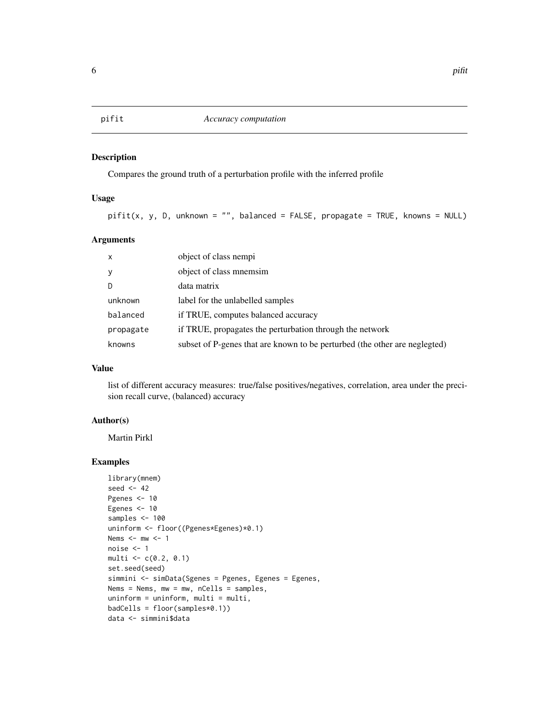#### <span id="page-5-0"></span>Description

Compares the ground truth of a perturbation profile with the inferred profile

#### Usage

```
pifit(x, y, D, unknown = "", balanced = FALSE, propagate = TRUE, knowns = NULL)
```
#### Arguments

| $\mathsf{x}$ | object of class nempi                                                      |
|--------------|----------------------------------------------------------------------------|
| y            | object of class mnemsim                                                    |
| D.           | data matrix                                                                |
| unknown      | label for the unlabelled samples                                           |
| balanced     | if TRUE, computes balanced accuracy                                        |
| propagate    | if TRUE, propagates the perturbation through the network                   |
| knowns       | subset of P-genes that are known to be perturbed (the other are neglegted) |

#### Value

list of different accuracy measures: true/false positives/negatives, correlation, area under the precision recall curve, (balanced) accuracy

#### Author(s)

Martin Pirkl

```
library(mnem)
seed <- 42
Pgenes <- 10
Egenes <-10samples <- 100
uninform <- floor((Pgenes*Egenes)*0.1)
Nems <- mw <-1noise <- 1
multi < -c(0.2, 0.1)set.seed(seed)
simmini <- simData(Sgenes = Pgenes, Egenes = Egenes,
Nems = Nems, mw = mw, nCells = samples,
uninform = uninform, multi = multi,
badCells = floor(samples*0.1))
data <- simmini$data
```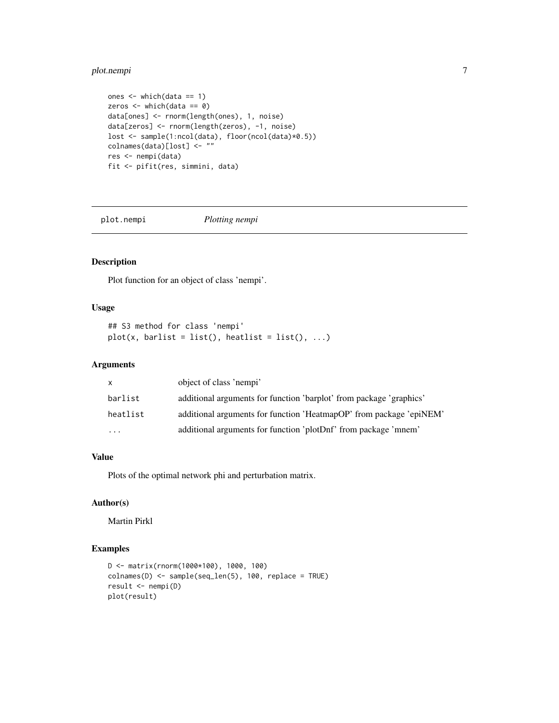#### <span id="page-6-0"></span>plot.nempi 7

```
ones \leq which(data == 1)
zeros \leq which(data == 0)
data[ones] <- rnorm(length(ones), 1, noise)
data[zeros] <- rnorm(length(zeros), -1, noise)
lost <- sample(1:ncol(data), floor(ncol(data)*0.5))
colnames(data)[lost] <- ""
res <- nempi(data)
fit <- pifit(res, simmini, data)
```
plot.nempi *Plotting nempi*

#### Description

Plot function for an object of class 'nempi'.

#### Usage

```
## S3 method for class 'nempi'
plot(x, barlist = list(), heatlist = list(), ...)
```
#### Arguments

| X        | object of class 'nempi'                                             |
|----------|---------------------------------------------------------------------|
| barlist  | additional arguments for function 'barplot' from package 'graphics' |
| heatlist | additional arguments for function 'HeatmapOP' from package 'epiNEM' |
| $\cdots$ | additional arguments for function 'plotDnf' from package 'mnem'     |

#### Value

Plots of the optimal network phi and perturbation matrix.

#### Author(s)

Martin Pirkl

```
D <- matrix(rnorm(1000*100), 1000, 100)
colnames(D) <- sample(seq_len(5), 100, replace = TRUE)
result <- nempi(D)
plot(result)
```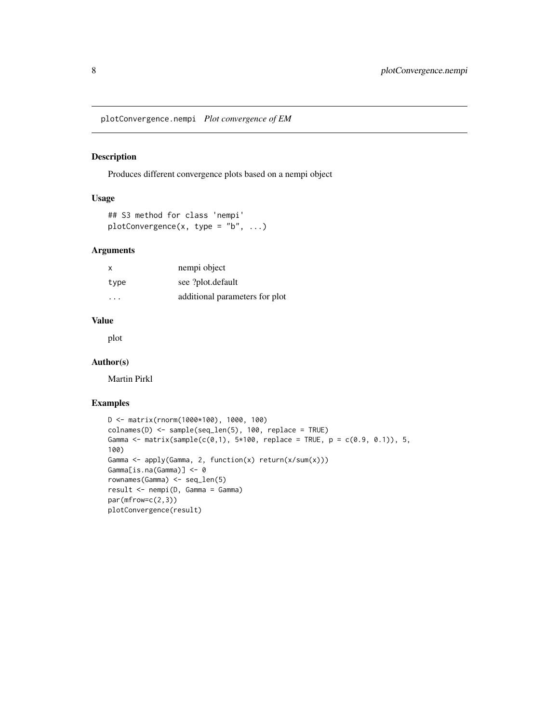<span id="page-7-0"></span>plotConvergence.nempi *Plot convergence of EM*

#### Description

Produces different convergence plots based on a nempi object

#### Usage

```
## S3 method for class 'nempi'
plotConvergence(x, type = "b", ...)
```
#### Arguments

| $\times$                | nempi object                   |
|-------------------------|--------------------------------|
| type                    | see ?plot.default              |
| $\cdot$ $\cdot$ $\cdot$ | additional parameters for plot |

#### Value

plot

#### Author(s)

Martin Pirkl

```
D <- matrix(rnorm(1000*100), 1000, 100)
colnames(D) <- sample(seq_len(5), 100, replace = TRUE)
Gamma <- matrix(sample(c(0,1), 5*100, replace = TRUE, p = c(0.9, 0.1)), 5,
100)
Gamma \leq apply(Gamma, 2, function(x) return(x/sum(x)))
Gamma[is.na(Gamma)] <- 0
rownames(Gamma) <- seq_len(5)
result <- nempi(D, Gamma = Gamma)
par(mfrow=c(2,3))
plotConvergence(result)
```